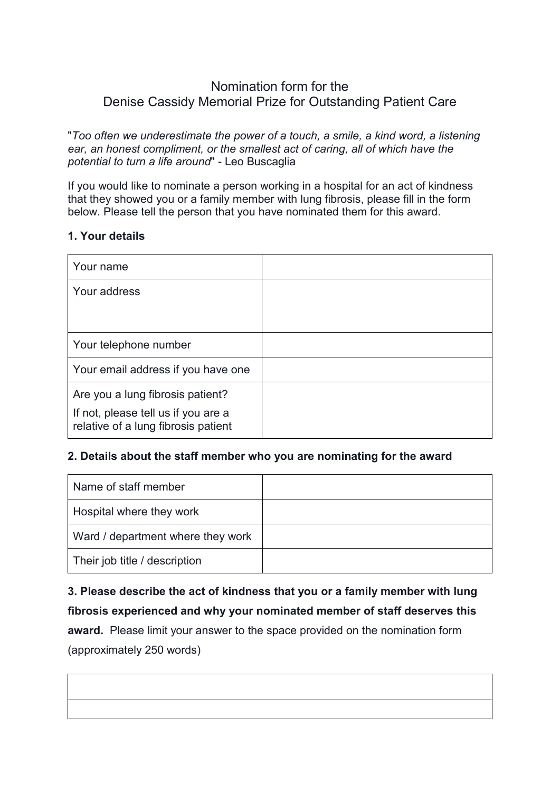## Nomination form for the Denise Cassidy Memorial Prize for Outstanding Patient Care

"*Too often we underestimate the power of a touch, a smile, a kind word, a listening ear, an honest compliment, or the smallest act of caring, all of which have the potential to turn a life around*" - Leo Buscaglia

If you would like to nominate a person working in a hospital for an act of kindness that they showed you or a family member with lung fibrosis, please fill in the form below. Please tell the person that you have nominated them for this award.

## **1. Your details**

| Your name                                                                                                      |  |
|----------------------------------------------------------------------------------------------------------------|--|
| Your address                                                                                                   |  |
|                                                                                                                |  |
| Your telephone number                                                                                          |  |
| Your email address if you have one                                                                             |  |
| Are you a lung fibrosis patient?<br>If not, please tell us if you are a<br>relative of a lung fibrosis patient |  |

## **2. Details about the staff member who you are nominating for the award**

| Name of staff member              |  |
|-----------------------------------|--|
| Hospital where they work          |  |
| Ward / department where they work |  |
| Their job title / description     |  |

**3. Please describe the act of kindness that you or a family member with lung fibrosis experienced and why your nominated member of staff deserves this award.** Please limit your answer to the space provided on the nomination form (approximately 250 words)